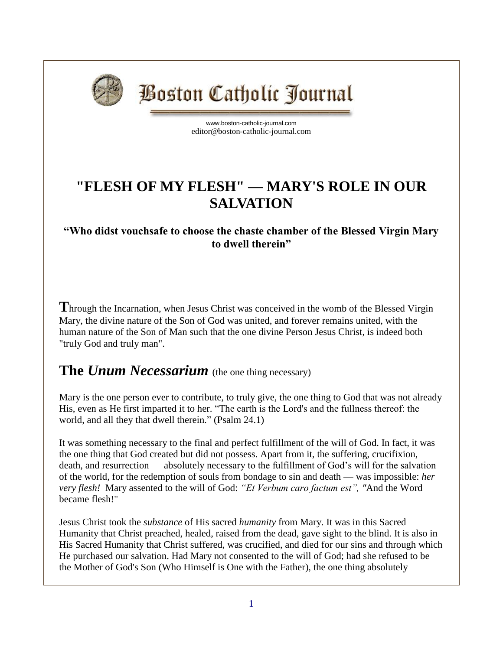

**Boston Catholic Journal** 

[www.boston-catholic-journal.com](http://www.boston-catholic-journal.com/) editor@boston-catholic-journal.com

## **"FLESH OF MY FLESH" — MARY'S ROLE IN OUR SALVATION**

## **"Who didst vouchsafe to choose the chaste chamber of the Blessed Virgin Mary to dwell therein"**

**T**hrough the Incarnation, when Jesus Christ was conceived in the womb of the Blessed Virgin Mary, the divine nature of the Son of God was united, and forever remains united, with the human nature of the Son of Man such that the one divine Person Jesus Christ, is indeed both "truly God and truly man".

## **The** *Unum Necessarium* (the one thing necessary)

Mary is the one person ever to contribute, to truly give, the one thing to God that was not already His, even as He first imparted it to her. "The earth is the Lord's and the fullness thereof: the world, and all they that dwell therein." (Psalm 24.1)

It was something necessary to the final and perfect fulfillment of the will of God. In fact, it was the one thing that God created but did not possess. Apart from it, the suffering, crucifixion, death, and resurrection — absolutely necessary to the fulfillment of God's will for the salvation of the world, for the redemption of souls from bondage to sin and death — was impossible: *her very flesh!* Mary assented to the will of God: *"Et Verbum caro factum est", "*And the Word became flesh!"

Jesus Christ took the *substance* of His sacred *humanity* from Mary. It was in this Sacred Humanity that Christ preached, healed, raised from the dead, gave sight to the blind. It is also in His Sacred Humanity that Christ suffered, was crucified, and died for our sins and through which He purchased our salvation. Had Mary not consented to the will of God; had she refused to be the Mother of God's Son (Who Himself is One with the Father), the one thing absolutely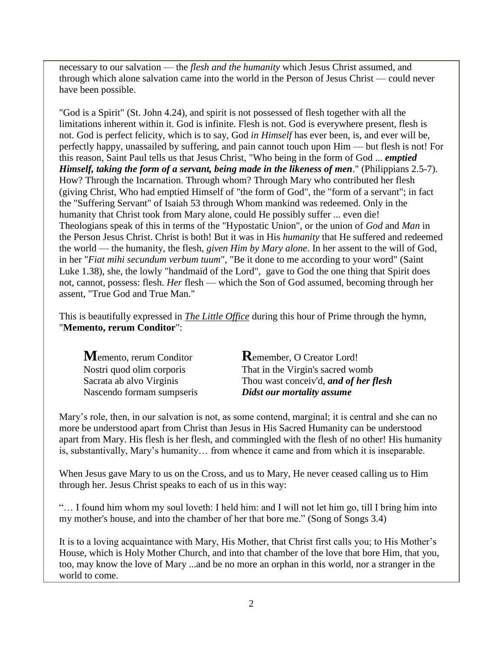necessary to our salvation — the *flesh and the humanity* which Jesus Christ assumed, and through which alone salvation came into the world in the Person of Jesus Christ — could never have been possible.

"God is a Spirit" (St. John 4.24), and spirit is not possessed of flesh together with all the limitations inherent within it. God is infinite. Flesh is not. God is everywhere present, flesh is not. God is perfect felicity, which is to say, God *in Himself* has ever been, is, and ever will be, perfectly happy, unassailed by suffering, and pain cannot touch upon Him — but flesh is not! For this reason, Saint Paul tells us that Jesus Christ, "Who being in the form of God ... *emptied Himself, taking the form of a servant, being made in the likeness of men*." (Philippians 2.5-7). How? Through the Incarnation. Through whom? Through Mary who contributed her flesh (giving Christ, Who had emptied Himself of "the form of God", the "form of a servant"; in fact the "Suffering Servant" of Isaiah 53 through Whom mankind was redeemed. Only in the humanity that Christ took from Mary alone, could He possibly suffer ... even die! Theologians speak of this in terms of the "Hypostatic Union", or the union of *God* and *Man* in the Person Jesus Christ. Christ is both! But it was in His *humanity* that He suffered and redeemed the world — the humanity, the flesh, *given Him by Mary alone*. In her assent to the will of God, in her "*Fiat mihi secundum verbum tuum*", "Be it done to me according to your word" (Saint Luke 1.38), she, the lowly "handmaid of the Lord", gave to God the one thing that Spirit does not, cannot, possess: flesh. *Her* flesh — which the Son of God assumed, becoming through her assent, "True God and True Man."

This is beautifully expressed in *[The Little Office](http://www.boston-catholic-journal.com/little-office-of-the-blessed-virgin-mary.htm)* during this hour of Prime through the hymn, "**Memento, rerum Conditor**":

| $M$ emento, rerum Conditor | <b>K</b> emember, O Creator Lord!     |
|----------------------------|---------------------------------------|
| Nostri quod olim corporis  | That in the Virgin's sacred womb      |
| Sacrata ab alvo Virginis   | Thou wast conceiv'd, and of her flesh |
| Nascendo formam sumpseris  | Didst our mortality assume            |

Mary's role, then, in our salvation is not, as some contend, marginal; it is central and she can no more be understood apart from Christ than Jesus in His Sacred Humanity can be understood apart from Mary. His flesh is her flesh, and commingled with the flesh of no other! His humanity is, substantivally, Mary's humanity… from whence it came and from which it is inseparable.

When Jesus gave Mary to us on the Cross, and us to Mary, He never ceased calling us to Him through her. Jesus Christ speaks to each of us in this way:

"… I found him whom my soul loveth: I held him: and I will not let him go, till I bring him into my mother's house, and into the chamber of her that bore me." (Song of Songs 3.4)

It is to a loving acquaintance with Mary, His Mother, that Christ first calls you; to His Mother's House, which is Holy Mother Church, and into that chamber of the love that bore Him, that you, too, may know the love of Mary ...and be no more an orphan in this world, nor a stranger in the world to come.